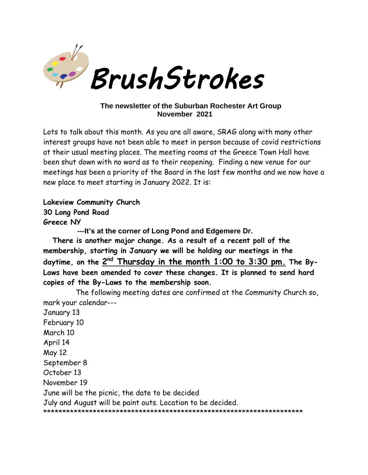

#### The newsletter of the Suburban Rochester Art Group November 2021

Lots to talk about this month. As you are all aware, SRAG along with many other interest groups have not been able to meet in person because of covid restrictions at their usual meeting places. The meeting rooms at the Greece Town Hall have been shut down with no word as to their reopening. Finding a new venue for our meetings has been a priority of the Board in the last few months and we now have a new place to meet starting in January 2022. It is:

Lakeview Community Church 30 Long Pond Road Greece NY

--- It's at the corner of Long Pond and Edgemere Dr.

There is another major change. As a result of a recent poll of the membership, starting in January we will be holding our meetings in the daytime, on the 2<sup>nd</sup> Thursday in the month 1:00 to 3:30 pm. The By-Laws have been amended to cover these changes. It is planned to send hard copies of the By-Laws to the membership soon.

The following meeting dates are confirmed at the Community Church so, mark your calendar---

January 13 February 10 March 10 April 14 May 12 September 8 October 13 November 19 June will be the picnic, the date to be decided July and August will be paint outs. Location to be decided.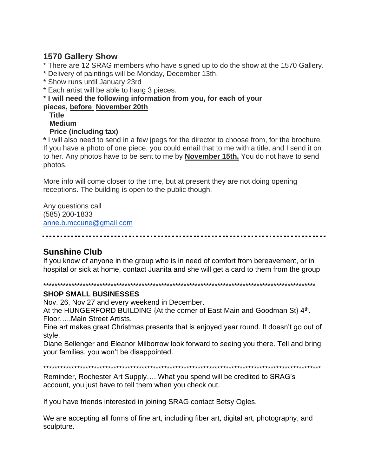## **1570 Gallery Show**

- \* There are 12 SRAG members who have signed up to do the show at the 1570 Gallery.
- \* Delivery of paintings will be Monday, December 13th.
- \* Show runs until January 23rd
- \* Each artist will be able to hang 3 pieces.

### \* I will need the following information from you, for each of your

#### pieces, before November 20th

**Title** 

#### **Medium**

#### **Price (including tax)**

\* I will also need to send in a few jpegs for the director to choose from, for the brochure. If you have a photo of one piece, you could email that to me with a title, and I send it on to her. Any photos have to be sent to me by **November 15th.** You do not have to send photos.

More info will come closer to the time, but at present they are not doing opening receptions. The building is open to the public though.

Any questions call (585) 200-1833 anne.b.mccune@gmail.com

# **Sunshine Club**

If you know of anyone in the group who is in need of comfort from bereavement, or in hospital or sick at home, contact Juanita and she will get a card to them from the group

#### 

#### **SHOP SMALL BUSINESSES**

Nov. 26, Nov 27 and every weekend in December.

At the HUNGERFORD BUILDING {At the corner of East Main and Goodman St} 4<sup>th</sup>. Floor.....Main Street Artists.

Fine art makes great Christmas presents that is enjoyed year round. It doesn't go out of style.

Diane Bellenger and Eleanor Milborrow look forward to seeing you there. Tell and bring your families, you won't be disappointed.

Reminder, Rochester Art Supply.... What you spend will be credited to SRAG's account, you just have to tell them when you check out.

If you have friends interested in joining SRAG contact Betsy Ogles.

We are accepting all forms of fine art, including fiber art, digital art, photography, and sculpture.